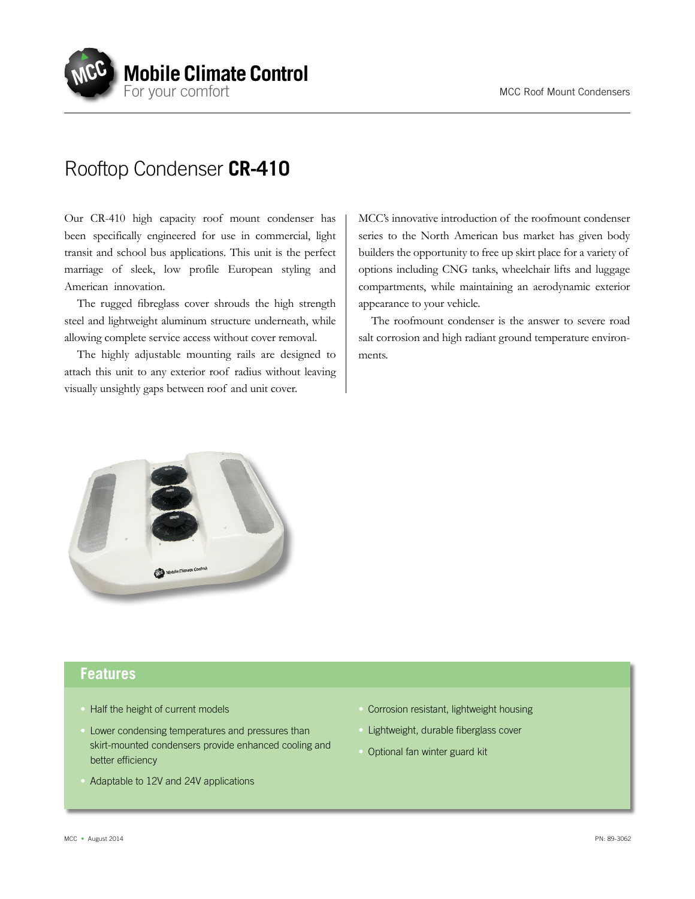

## Rooftop Condenser **CR-410**

Our CR-410 high capacity roof mount condenser has been specifically engineered for use in commercial, light transit and school bus applications. This unit is the perfect marriage of sleek, low profile European styling and American innovation.

The rugged fibreglass cover shrouds the high strength steel and lightweight aluminum structure underneath, while allowing complete service access without cover removal.

The highly adjustable mounting rails are designed to attach this unit to any exterior roof radius without leaving visually unsightly gaps between roof and unit cover.

MCC's innovative introduction of the roofmount condenser series to the North American bus market has given body builders the opportunity to free up skirt place for a variety of options including CNG tanks, wheelchair lifts and luggage compartments, while maintaining an aerodynamic exterior appearance to your vehicle.

The roofmount condenser is the answer to severe road salt corrosion and high radiant ground temperature environments.



## **Features**

- Half the height of current models
- Lower condensing temperatures and pressures than skirt-mounted condensers provide enhanced cooling and better efficiency
- Adaptable to 12V and 24V applications
- Corrosion resistant, lightweight housing
- Lightweight, durable fiberglass cover
- Optional fan winter guard kit